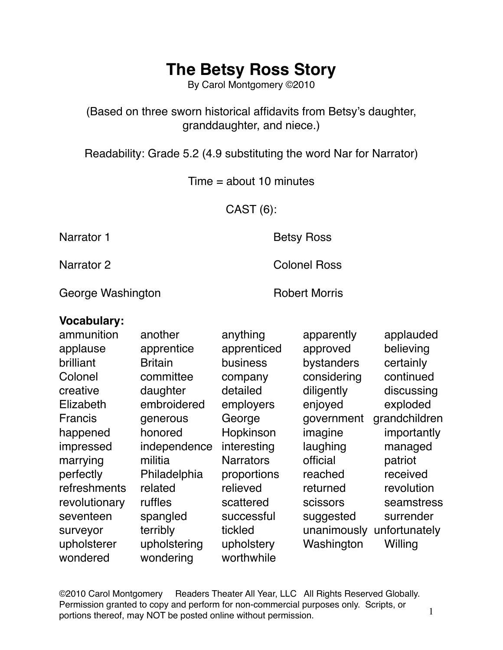By Carol Montgomery ©2010

(Based on three sworn historical affidavits from Betsy's daughter, granddaughter, and niece.)

Readability: Grade 5.2 (4.9 substituting the word Nar for Narrator)

 $Time = about 10 minutes$ 

CAST (6):

Narrator 1 **Betsy Ross** 

Narrator 2 Colonel Ross

George Washington **Robert Morris** Robert Morris

#### **Vocabulary:**

| ammunition    | another        | anything         | apparently  | applauded     |
|---------------|----------------|------------------|-------------|---------------|
| applause      | apprentice     | apprenticed      | approved    | believing     |
| brilliant     | <b>Britain</b> | business         | bystanders  | certainly     |
| Colonel       | committee      | company          | considering | continued     |
| creative      | daughter       | detailed         | diligently  | discussing    |
| Elizabeth     | embroidered    | employers        | enjoyed     | exploded      |
| Francis       | generous       | George           | government  | grandchildren |
| happened      | honored        | Hopkinson        | imagine     | importantly   |
| impressed     | independence   | interesting      | laughing    | managed       |
| marrying      | militia        | <b>Narrators</b> | official    | patriot       |
| perfectly     | Philadelphia   | proportions      | reached     | received      |
| refreshments  | related        | relieved         | returned    | revolution    |
| revolutionary | ruffles        | scattered        | scissors    | seamstress    |
| seventeen     | spangled       | successful       | suggested   | surrender     |
| surveyor      | terribly       | tickled          | unanimously | unfortunately |
| upholsterer   | upholstering   | upholstery       | Washington  | Willing       |
| wondered      | wondering      | worthwhile       |             |               |

©2010 Carol Montgomery Readers Theater All Year, LLC All Rights Reserved Globally. Permission granted to copy and perform for non-commercial purposes only. Scripts, or portions thereof, may NOT be posted online without permission.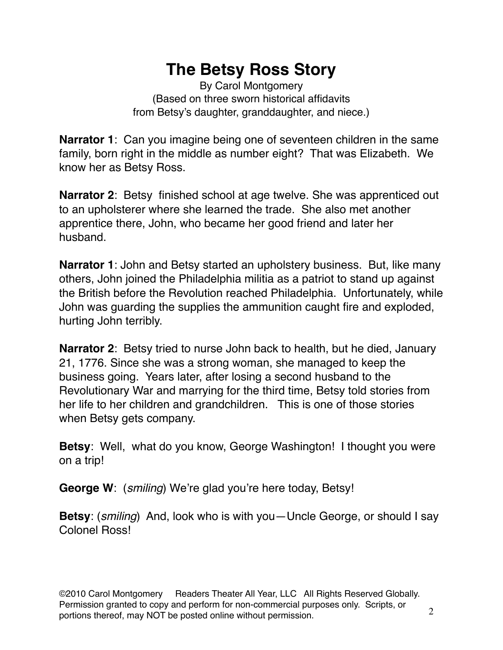By Carol Montgomery (Based on three sworn historical affidavits from Betsy's daughter, granddaughter, and niece.)

**Narrator 1**: Can you imagine being one of seventeen children in the same family, born right in the middle as number eight? That was Elizabeth. We know her as Betsy Ross.

**Narrator 2**: Betsy finished school at age twelve. She was apprenticed out to an upholsterer where she learned the trade. She also met another apprentice there, John, who became her good friend and later her husband.

**Narrator 1**: John and Betsy started an upholstery business. But, like many others, John joined the Philadelphia militia as a patriot to stand up against the British before the Revolution reached Philadelphia. Unfortunately, while John was guarding the supplies the ammunition caught fire and exploded, hurting John terribly.

**Narrator 2**: Betsy tried to nurse John back to health, but he died, January 21, 1776. Since she was a strong woman, she managed to keep the business going. Years later, after losing a second husband to the Revolutionary War and marrying for the third time, Betsy told stories from her life to her children and grandchildren. This is one of those stories when Betsy gets company.

**Betsy**: Well, what do you know, George Washington! I thought you were on a trip!

**George W**: (*smiling*) We're glad you're here today, Betsy!

**Betsy**: (*smiling*) And, look who is with you—Uncle George, or should I say Colonel Ross!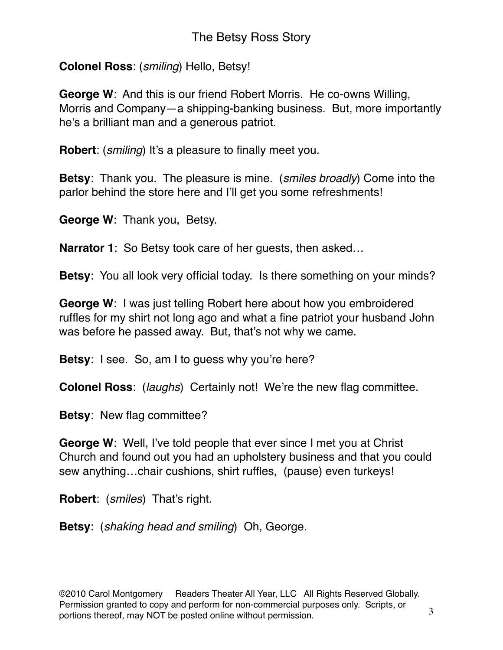**Colonel Ross**: (*smiling*) Hello, Betsy!

**George W**: And this is our friend Robert Morris. He co-owns Willing, Morris and Company—a shipping-banking business. But, more importantly he's a brilliant man and a generous patriot.

**Robert**: (*smiling*) It's a pleasure to finally meet you.

**Betsy**: Thank you. The pleasure is mine. (*smiles broadly*) Come into the parlor behind the store here and I'll get you some refreshments!

**George W**: Thank you, Betsy.

**Narrator 1**: So Betsy took care of her guests, then asked…

**Betsy**: You all look very official today. Is there something on your minds?

**George W**: I was just telling Robert here about how you embroidered ruffles for my shirt not long ago and what a fine patriot your husband John was before he passed away. But, that's not why we came.

**Betsy**: I see. So, am I to guess why you're here?

**Colonel Ross**: (*laughs*) Certainly not! We're the new flag committee.

**Betsy**: New flag committee?

**George W**: Well, I've told people that ever since I met you at Christ Church and found out you had an upholstery business and that you could sew anything…chair cushions, shirt ruffles, (pause) even turkeys!

**Robert**: (*smiles*) That's right.

**Betsy**: (*shaking head and smiling*) Oh, George.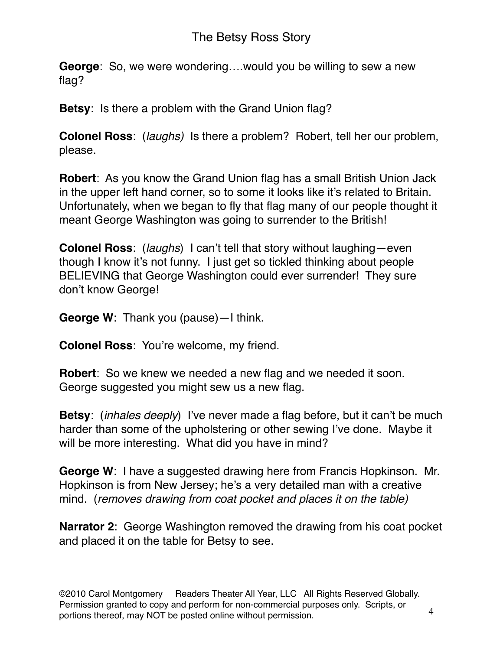**George**: So, we were wondering….would you be willing to sew a new flag?

**Betsy**: Is there a problem with the Grand Union flag?

**Colonel Ross**: (*laughs)* Is there a problem? Robert, tell her our problem, please.

**Robert**: As you know the Grand Union flag has a small British Union Jack in the upper left hand corner, so to some it looks like it's related to Britain. Unfortunately, when we began to fly that flag many of our people thought it meant George Washington was going to surrender to the British!

**Colonel Ross**: (*laughs*) I can't tell that story without laughing—even though I know it's not funny. I just get so tickled thinking about people BELIEVING that George Washington could ever surrender! They sure don't know George!

**George W**: Thank you (pause)—I think.

**Colonel Ross**: You're welcome, my friend.

**Robert**: So we knew we needed a new flag and we needed it soon. George suggested you might sew us a new flag.

**Betsy**: (*inhales deeply*) I've never made a flag before, but it can't be much harder than some of the upholstering or other sewing I've done. Maybe it will be more interesting. What did you have in mind?

**George W**: I have a suggested drawing here from Francis Hopkinson. Mr. Hopkinson is from New Jersey; he's a very detailed man with a creative mind. (*removes drawing from coat pocket and places it on the table)*

**Narrator 2**: George Washington removed the drawing from his coat pocket and placed it on the table for Betsy to see.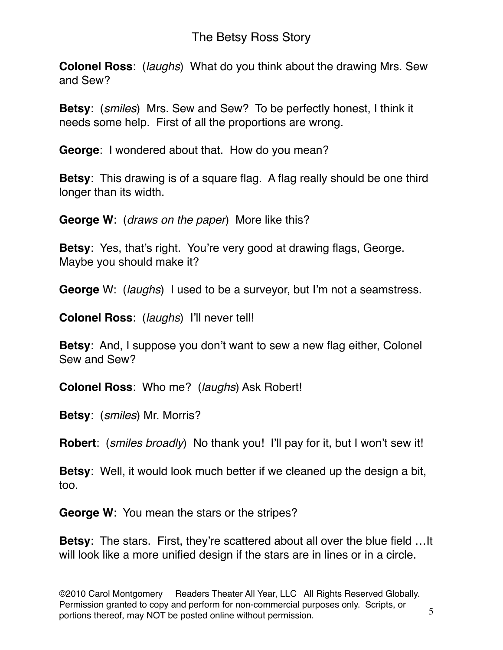**Colonel Ross**: (*laughs*) What do you think about the drawing Mrs. Sew and Sew?

**Betsy**: (*smiles*) Mrs. Sew and Sew? To be perfectly honest, I think it needs some help. First of all the proportions are wrong.

**George**: I wondered about that. How do you mean?

**Betsy**: This drawing is of a square flag. A flag really should be one third longer than its width.

**George W**: (*draws on the paper*) More like this?

**Betsy**: Yes, that's right. You're very good at drawing flags, George. Maybe you should make it?

**George** W: (*laughs*) I used to be a surveyor, but I'm not a seamstress.

**Colonel Ross**: (*laughs*) I'll never tell!

**Betsy**: And, I suppose you don't want to sew a new flag either, Colonel Sew and Sew?

**Colonel Ross**: Who me? (*laughs*) Ask Robert!

**Betsy**: (*smiles*) Mr. Morris?

**Robert**: (*smiles broadly*) No thank you! I'll pay for it, but I won't sew it!

**Betsy**: Well, it would look much better if we cleaned up the design a bit, too.

**George W**: You mean the stars or the stripes?

**Betsy**: The stars. First, they're scattered about all over the blue field …It will look like a more unified design if the stars are in lines or in a circle.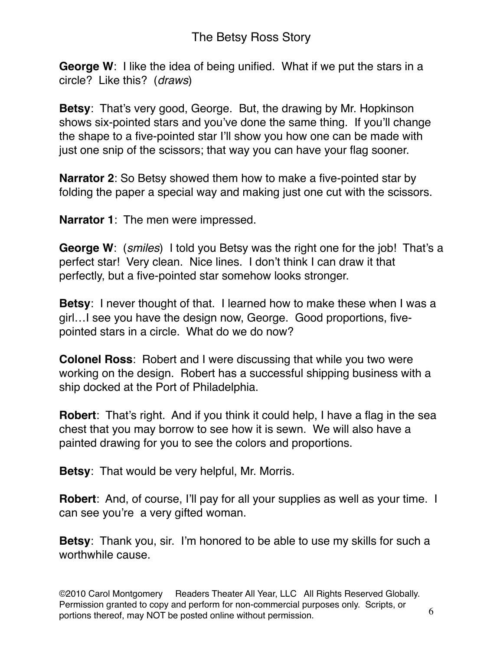**George W**: I like the idea of being unified. What if we put the stars in a circle? Like this? (*draws*)

**Betsy**: That's very good, George. But, the drawing by Mr. Hopkinson shows six-pointed stars and you've done the same thing. If you'll change the shape to a five-pointed star I'll show you how one can be made with just one snip of the scissors; that way you can have your flag sooner.

**Narrator 2**: So Betsy showed them how to make a five-pointed star by folding the paper a special way and making just one cut with the scissors.

**Narrator 1**: The men were impressed.

**George W**: (*smiles*) I told you Betsy was the right one for the job! That's a perfect star! Very clean. Nice lines. I don't think I can draw it that perfectly, but a five-pointed star somehow looks stronger.

**Betsy**: I never thought of that. I learned how to make these when I was a girl…I see you have the design now, George. Good proportions, fivepointed stars in a circle. What do we do now?

**Colonel Ross**: Robert and I were discussing that while you two were working on the design. Robert has a successful shipping business with a ship docked at the Port of Philadelphia.

**Robert**: That's right. And if you think it could help, I have a flag in the sea chest that you may borrow to see how it is sewn. We will also have a painted drawing for you to see the colors and proportions.

**Betsy**: That would be very helpful, Mr. Morris.

**Robert**: And, of course, I'll pay for all your supplies as well as your time. I can see you're a very gifted woman.

**Betsy**: Thank you, sir. I'm honored to be able to use my skills for such a worthwhile cause.

©2010 Carol Montgomery Readers Theater All Year, LLC All Rights Reserved Globally. Permission granted to copy and perform for non-commercial purposes only. Scripts, or portions thereof, may NOT be posted online without permission.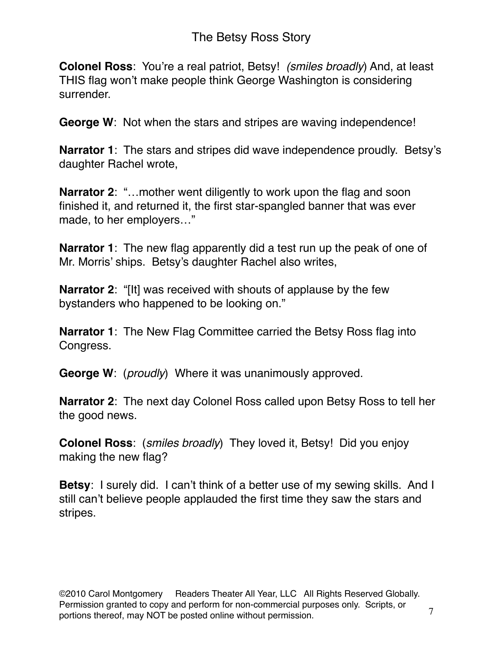**Colonel Ross**: You're a real patriot, Betsy! *(smiles broadly*) And, at least THIS flag won't make people think George Washington is considering surrender.

**George W**: Not when the stars and stripes are waving independence!

**Narrator 1**: The stars and stripes did wave independence proudly. Betsy's daughter Rachel wrote,

**Narrator 2:** "...mother went diligently to work upon the flag and soon finished it, and returned it, the first star-spangled banner that was ever made, to her employers…"

**Narrator 1**: The new flag apparently did a test run up the peak of one of Mr. Morris' ships. Betsy's daughter Rachel also writes,

**Narrator 2**: "[It] was received with shouts of applause by the few bystanders who happened to be looking on."

**Narrator 1**: The New Flag Committee carried the Betsy Ross flag into Congress.

**George W**: (*proudly*) Where it was unanimously approved.

**Narrator 2**: The next day Colonel Ross called upon Betsy Ross to tell her the good news.

**Colonel Ross**: (*smiles broadly*) They loved it, Betsy! Did you enjoy making the new flag?

**Betsy**: I surely did. I can't think of a better use of my sewing skills. And I still can't believe people applauded the first time they saw the stars and stripes.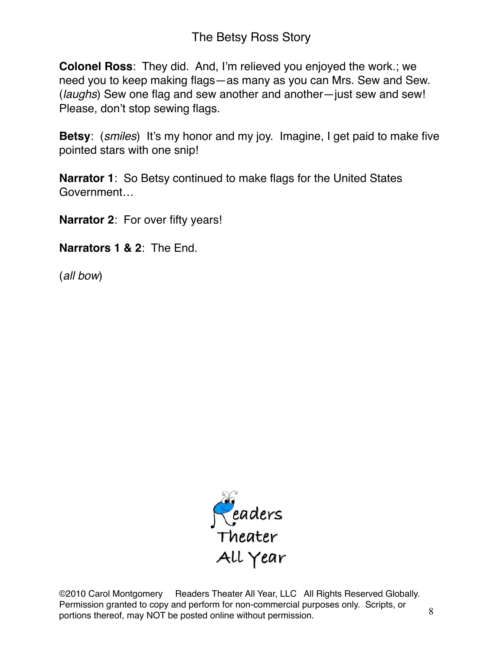**Colonel Ross**: They did. And, I'm relieved you enjoyed the work.; we need you to keep making flags—as many as you can Mrs. Sew and Sew. (*laughs*) Sew one flag and sew another and another—just sew and sew! Please, don't stop sewing flags.

**Betsy**: (*smiles*) It's my honor and my joy. Imagine, I get paid to make five pointed stars with one snip!

**Narrator 1**: So Betsy continued to make flags for the United States Government…

**Narrator 2**: For over fifty years!

**Narrators 1 & 2**: The End.

(*all bow*)



©2010 Carol Montgomery Readers Theater All Year, LLC All Rights Reserved Globally. Permission granted to copy and perform for non-commercial purposes only. Scripts, or portions thereof, may NOT be posted online without permission.